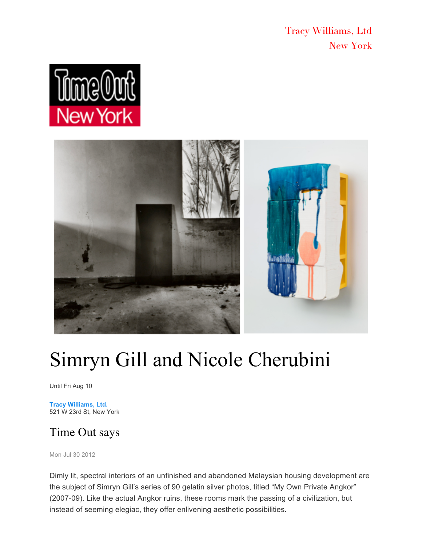Tracy Williams, Ltd New York





## Simryn Gill and Nicole Cherubini

Until Fri Aug 10

**Tracy Williams, Ltd.** 521 W 23rd St, New York

## Time Out says

Mon Jul 30 2012

Dimly lit, spectral interiors of an unfinished and abandoned Malaysian housing development are the subject of Simryn Gill's series of 90 gelatin silver photos, titled "My Own Private Angkor" (2007-09). Like the actual Angkor ruins, these rooms mark the passing of a civilization, but instead of seeming elegiac, they offer enlivening aesthetic possibilities.